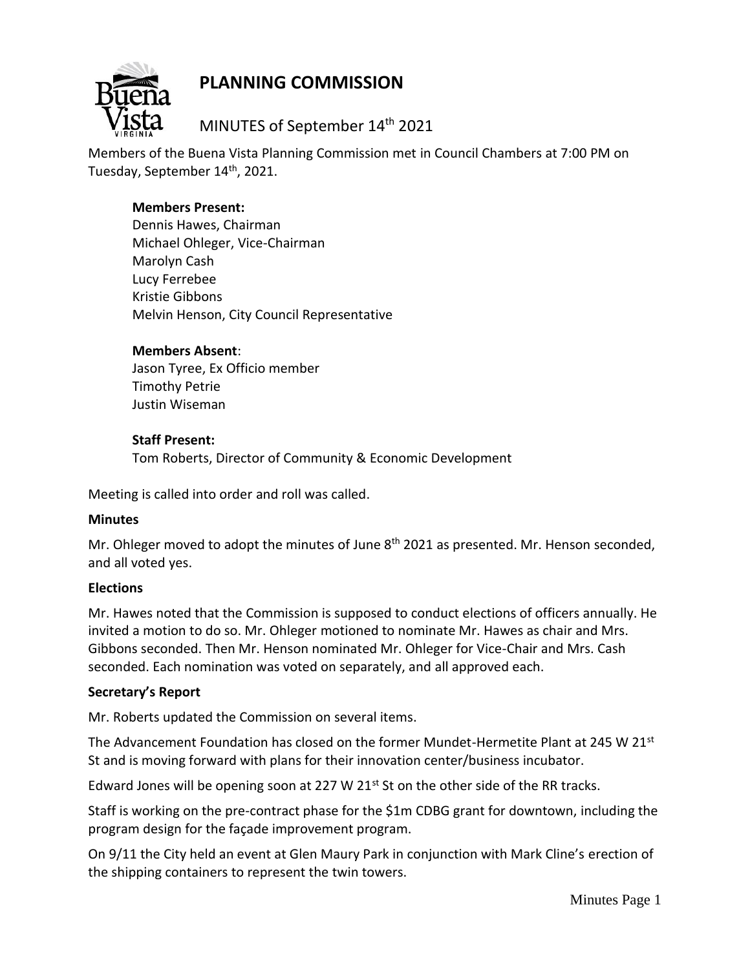# **PLANNING COMMISSION**



MINUTES of September 14th 2021

Members of the Buena Vista Planning Commission met in Council Chambers at 7:00 PM on Tuesday, September 14<sup>th</sup>, 2021.

## **Members Present:**

Dennis Hawes, Chairman Michael Ohleger, Vice-Chairman Marolyn Cash Lucy Ferrebee Kristie Gibbons Melvin Henson, City Council Representative

### **Members Absent**:

Jason Tyree, Ex Officio member Timothy Petrie Justin Wiseman

#### **Staff Present:**

Tom Roberts, Director of Community & Economic Development

Meeting is called into order and roll was called.

#### **Minutes**

Mr. Ohleger moved to adopt the minutes of June 8<sup>th</sup> 2021 as presented. Mr. Henson seconded, and all voted yes.

#### **Elections**

Mr. Hawes noted that the Commission is supposed to conduct elections of officers annually. He invited a motion to do so. Mr. Ohleger motioned to nominate Mr. Hawes as chair and Mrs. Gibbons seconded. Then Mr. Henson nominated Mr. Ohleger for Vice-Chair and Mrs. Cash seconded. Each nomination was voted on separately, and all approved each.

#### **Secretary's Report**

Mr. Roberts updated the Commission on several items.

The Advancement Foundation has closed on the former Mundet-Hermetite Plant at 245 W 21 $\mathrm{^{st}}$ St and is moving forward with plans for their innovation center/business incubator.

Edward Jones will be opening soon at 227 W 21 $st$  St on the other side of the RR tracks.

Staff is working on the pre-contract phase for the \$1m CDBG grant for downtown, including the program design for the façade improvement program.

On 9/11 the City held an event at Glen Maury Park in conjunction with Mark Cline's erection of the shipping containers to represent the twin towers.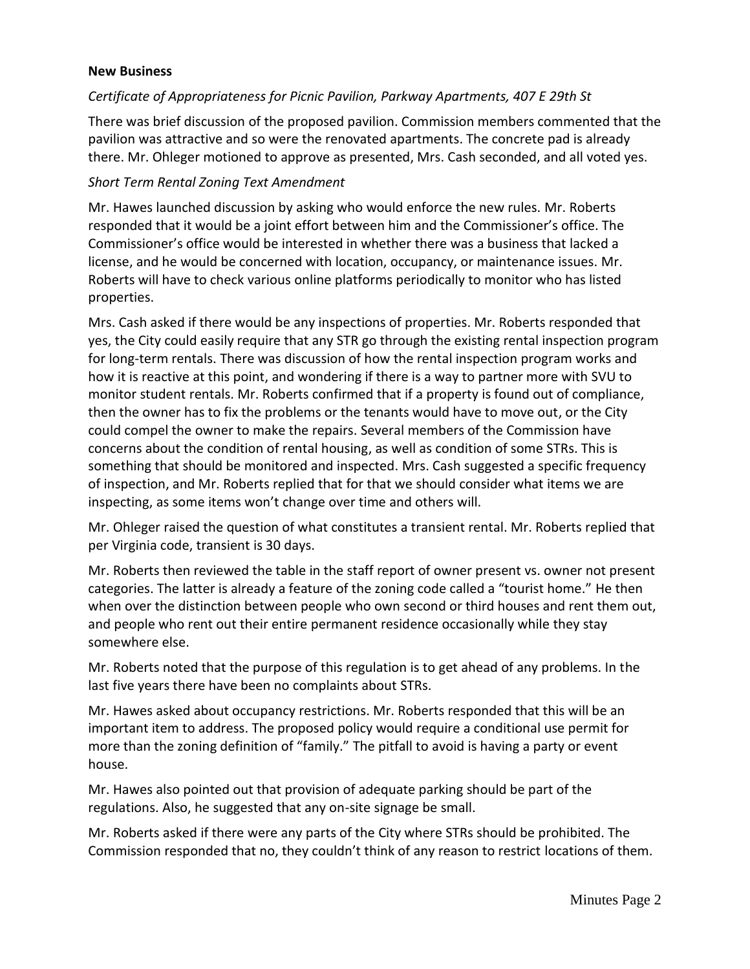#### **New Business**

#### *Certificate of Appropriateness for Picnic Pavilion, Parkway Apartments, 407 E 29th St*

There was brief discussion of the proposed pavilion. Commission members commented that the pavilion was attractive and so were the renovated apartments. The concrete pad is already there. Mr. Ohleger motioned to approve as presented, Mrs. Cash seconded, and all voted yes.

#### *Short Term Rental Zoning Text Amendment*

Mr. Hawes launched discussion by asking who would enforce the new rules. Mr. Roberts responded that it would be a joint effort between him and the Commissioner's office. The Commissioner's office would be interested in whether there was a business that lacked a license, and he would be concerned with location, occupancy, or maintenance issues. Mr. Roberts will have to check various online platforms periodically to monitor who has listed properties.

Mrs. Cash asked if there would be any inspections of properties. Mr. Roberts responded that yes, the City could easily require that any STR go through the existing rental inspection program for long-term rentals. There was discussion of how the rental inspection program works and how it is reactive at this point, and wondering if there is a way to partner more with SVU to monitor student rentals. Mr. Roberts confirmed that if a property is found out of compliance, then the owner has to fix the problems or the tenants would have to move out, or the City could compel the owner to make the repairs. Several members of the Commission have concerns about the condition of rental housing, as well as condition of some STRs. This is something that should be monitored and inspected. Mrs. Cash suggested a specific frequency of inspection, and Mr. Roberts replied that for that we should consider what items we are inspecting, as some items won't change over time and others will.

Mr. Ohleger raised the question of what constitutes a transient rental. Mr. Roberts replied that per Virginia code, transient is 30 days.

Mr. Roberts then reviewed the table in the staff report of owner present vs. owner not present categories. The latter is already a feature of the zoning code called a "tourist home." He then when over the distinction between people who own second or third houses and rent them out, and people who rent out their entire permanent residence occasionally while they stay somewhere else.

Mr. Roberts noted that the purpose of this regulation is to get ahead of any problems. In the last five years there have been no complaints about STRs.

Mr. Hawes asked about occupancy restrictions. Mr. Roberts responded that this will be an important item to address. The proposed policy would require a conditional use permit for more than the zoning definition of "family." The pitfall to avoid is having a party or event house.

Mr. Hawes also pointed out that provision of adequate parking should be part of the regulations. Also, he suggested that any on-site signage be small.

Mr. Roberts asked if there were any parts of the City where STRs should be prohibited. The Commission responded that no, they couldn't think of any reason to restrict locations of them.